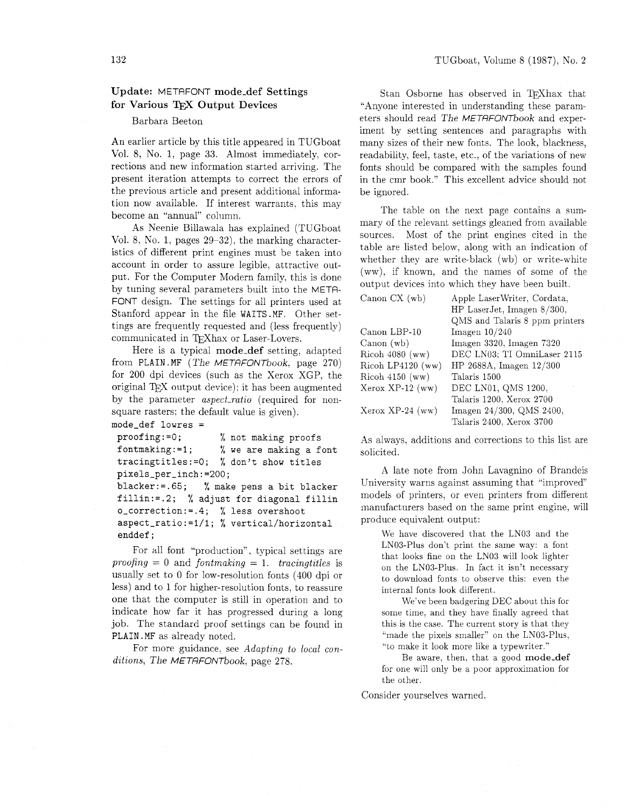## Update: METAFONT mode-def Settings for Various TFX Output Devices

#### Barbara Beeton

An earlier article by this title appeared in TUGboat Vol. 8, No. 1, page 33. Almost immediately. corrections and new information started arriving. The present iteration attempts to correct the errors of the previous article and present additional information now available. If interest warrants, this may become an "annual" column.

As Neenie Billawala has explained (TUGboat Vol. 8, No. 1: pages 29-32), the marking characteristics of different print engines must be taken into account in order to assure legible. attractive output. For the Computer Modern family. this is done by tuning several parameters built into the METR-FONT design. The settings for all printers used at Stanford appear in the file WAITS.MF. Other settings are frequently requested and (less frequently) communicated in QXhax or Laser-Lovers.

Here is a typical mode-def setting, adapted from **PLAIN.** MF (The METRFONTbook, page 270) for 200 dpi devices (such as the Xerox XGP, the original TEX output device); it has been augmented by the parameter aspect-ratio (required for nonsquare rasters; the default value is given).

```
mode-def lowres =
```

```
proofing:=O; % not making proofs 
fontmaking:=l; % we are making a font 
tracingtitles:=O; % don't show titles 
pixels-per_inch:=200; 
blacker:=.65; % make pens a bit blacker 
fillin:=.2; % adjust for diagonal fillin 
odcorrection:=.4; % less overshoot 
aspect-ratio:=l/l; % vertical/horizontal 
enddef ;
```
For all font "production", typical settings are proofing  $= 0$  and fontmaking  $= 1$ . tracingtitles is usually set to 0 for low-resolution fonts (400 dpi or less) and to 1 for higher-resolution fonts, to reassure one that the computer is still in operation and to indicate how far it has progressed during a long job. The standard proof settings can be found in **PLAIN.** MF as already noted.

For more guidance, see Adapting to local conditions, The METAFONTbook, page 278.

Stan Osborne has observed in TFXhax that "Anyone interested in understanding these parameters should read The METRFONTbook and experiment by setting sentences and paragraphs with many sizes of their new fonts. The look. blackness, readability, feel, taste, etc., of the variations of new fonts should be compared with the samples found in the cmr book." This excellent advice should not be ignored.

The table on the next page contains a summary of the relevant settings gleaned from available sources. Most of the print engines cited in the table are listed below. along with an indication of whether they are write-black (wb) or write-white (ww). if known. and the names of some of the output devices into which they have been built.

| Canon CX (wb)       | Apple LaserWriter, Cordata,<br>HP LaserJet, Imagen 8/300, |  |  |  |
|---------------------|-----------------------------------------------------------|--|--|--|
|                     | QMS and Talaris 8 ppm printers                            |  |  |  |
| Canon LBP-10        | Imagen $10/240$                                           |  |  |  |
| Canon(wb)           | Imagen 3320, Imagen 7320                                  |  |  |  |
| Ricoh $4080$ (ww)   | DEC LN03; TI OmniLaser 2115                               |  |  |  |
| Ricoh LP4120 $(ww)$ | HP 2688A, Imagen $12/300$                                 |  |  |  |
| Ricoh $4150$ (ww)   | Talaris 1500                                              |  |  |  |
| $Xerox XP-12 (ww)$  | DEC LN01, QMS 1200,                                       |  |  |  |
|                     | Talaris 1200, Xerox 2700                                  |  |  |  |
| $Xerox XP-24 (ww)$  | Imagen 24/300, QMS 2400,                                  |  |  |  |
|                     | Talaris 2400, Xerox 3700                                  |  |  |  |

As always. additions and corrections to this list are solicited.

A late note from John Lavagnino of Brandeis University warns against assuming that "improved" models of printers, or even printers from different nanufacturers based on the same print engine, will produce equivalent output:

We have discovered that the LNO3 and the LN03-Plus don't print the same way: a font that looks fine on the LY03 will look lighter on the LN03-Plus. In fact it isn't necessary to download fonts to observe this: even the internal fonts look different.

We've been badgering DEC about this for some time. and they have finally agreed that this is the case. The current story is that they "made the pixels smaller" on the LN03-Plus, "to make it look more like a typewriter."

Be aware, then. that a good mode-def for one will only be a poor approximation for the other.

Consider yourselves warned.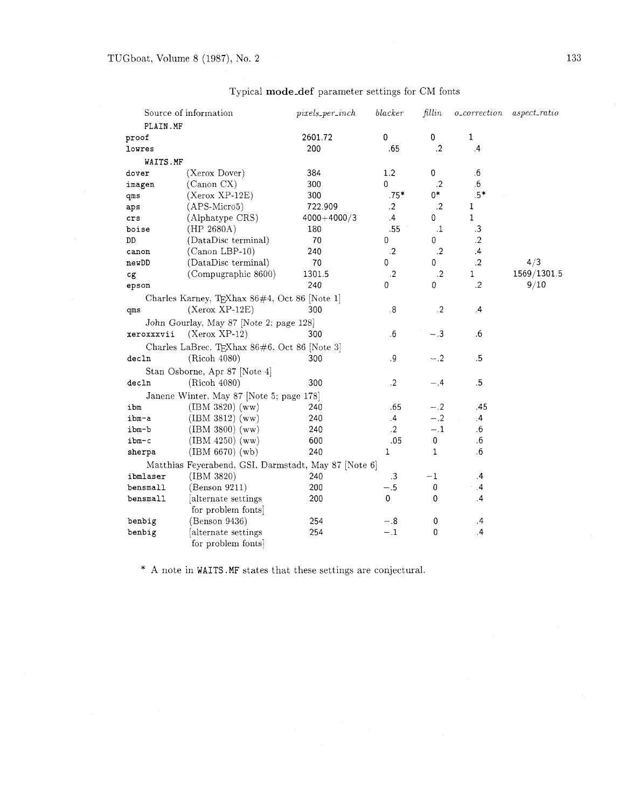|            | Source of information                                | $pixels\_per\_inch$ | blacker           | fillin       | $o\_correction$ | $aspect\_ratio$ |
|------------|------------------------------------------------------|---------------------|-------------------|--------------|-----------------|-----------------|
|            | PLAIN.MF                                             |                     |                   |              |                 |                 |
| proof      |                                                      | 2601.72             | $\pmb{0}$         | 0            | 1               |                 |
| lowres     |                                                      | 200                 | .65               | .2           | $\cdot$         |                 |
|            | WAITS.MF                                             |                     |                   |              |                 |                 |
| dover      | (Xerox Dover)                                        | 384                 | 1.2               | 0            | $.6\,$          |                 |
| imagen     | (Canon CX)                                           | 300                 | 0                 | $\cdot$ .2   | .6              |                 |
| qms        | $(Xerox XP-12E)$                                     | 300                 | $.75*$            | $0*$         | $.5*$           |                 |
| aps        | (APS-Micro5)                                         | 722.909             | $\cdot$           | $\cdot$      | 1               |                 |
| crs        | (Alphatype CRS)                                      | $4000 + 4000/3$     | $\cdot$           | 0            | $\mathbf{1}$    |                 |
| boise      | (HP 2680A)                                           | 180                 | .55               | $\cdot 1$    | .3              |                 |
| DD         | (DataDisc terminal)                                  | 70                  | 0                 | 0            | $\mathbf{.2}$   |                 |
| canon      | $(Canon LBP-10)$                                     | 240                 | $\cdot$           | $\cdot$      | $\cdot$         |                 |
| newDD      | (DataDisc terminal)                                  | 70                  | 0                 | 0            | $.2\phantom{0}$ | 4/3             |
| cg         | (Compugraphic 8600)                                  | 1301.5              | $\cdot$ 2         | $\cdot$      | 1               | 1569/1301.5     |
| epson      |                                                      | 240                 | 0                 | 0            | $\cdot$         | 9/10            |
|            | Charles Karney, TEXhax 86#4, Oct 86 [Note 1]         |                     |                   |              |                 |                 |
| qms        | $(Xerox XP-12E)$                                     | 300                 | $\boldsymbol{.8}$ | $\cdot$      | $\cdot$         |                 |
|            | John Gourlay, May 87 [Note 2; page 128]              |                     |                   |              |                 |                 |
| xeroxxxvii | $(Xerox XP-12)$                                      | 300                 | $6^{\circ}$       | $-.3$        | .6              |                 |
|            | Charles LaBrec, TEXhax 86#6, Oct 86 [Note 3]         |                     |                   |              |                 |                 |
| decln      | (Ricoh 4080)                                         | 300                 | $.9\,$            | $-.2$        | $.5\,$          |                 |
|            | Stan Osborne, Apr 87 [Note 4]                        |                     |                   |              |                 |                 |
| decln      | (Ricoh 4080)                                         | 300                 | $\cdot$ 2         | - .4         | .5              |                 |
|            | Janene Winter, May 87 [Note 5; page 178]             |                     |                   |              |                 |                 |
| ibm        | $(IBM 3820)$ (ww)                                    | 240                 | .65               | $-.2$        | .45             |                 |
| ibm-a      | $(IBM 3812)$ (ww)                                    | 240                 | $\overline{4}$    | $-.2$        | $\overline{.4}$ |                 |
| ibm-b      | $(IBM 3800)$ (ww)                                    | 240                 | $\cdot$ 2         | $-.1$        | .6              |                 |
| ibm-c      | $(IBM 4250)$ (ww)                                    | 600                 | .05               | $\pmb{0}$    | .6              |                 |
| sherpa     | (IBM 6670) (wb)                                      | 240                 | 1                 | $\mathbf{1}$ | .6              |                 |
|            | Matthias Feyerabend, GSI, Darmstadt, May 87 [Note 6] |                     |                   |              |                 |                 |
| ibmlaser   | (IBM 3820)                                           | 240                 | $\cdot$ 3         | $-1$         | $\cdot$         |                 |
| bensmall   | (Benson 9211)                                        | 200                 | $-.5$             | 0            | .4              |                 |
| bensmall   | alternate settings                                   | 200                 | 0                 | 0            | .4              |                 |
|            | for problem fonts                                    |                     |                   |              |                 |                 |
| benbig     | (Benson 9436)                                        | 254                 | $-.8$             | $\pmb{0}$    | $\cdot$         |                 |
| benbig     | alternate settings                                   | 254                 | $-.1$             | 0            | $\cdot$         |                 |
|            | for problem fonts                                    |                     |                   |              |                 |                 |

# Typical mode-def parameter settings for CM fonts

\* **A** note in WAITS .MF states that these settings are conjectural.